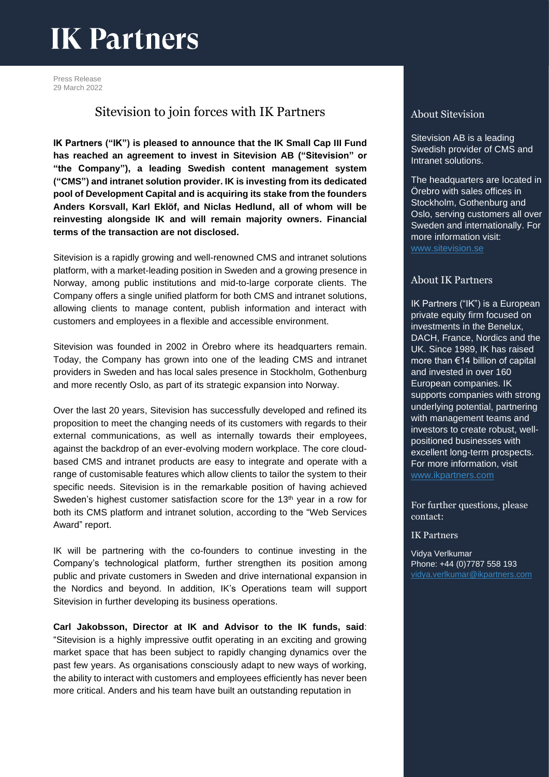## **IK Partners**

Press Release 29 March 2022

### Sitevision to join forces with IK Partners

**IK Partners ("IK") is pleased to announce that the IK Small Cap III Fund has reached an agreement to invest in Sitevision AB ("Sitevision" or "the Company"), a leading Swedish content management system ("CMS") and intranet solution provider. IK is investing from its dedicated pool of Development Capital and is acquiring its stake from the founders Anders Korsvall, Karl Eklöf, and Niclas Hedlund, all of whom will be reinvesting alongside IK and will remain majority owners. Financial terms of the transaction are not disclosed.**

Sitevision is a rapidly growing and well-renowned CMS and intranet solutions platform, with a market-leading position in Sweden and a growing presence in Norway, among public institutions and mid-to-large corporate clients. The Company offers a single unified platform for both CMS and intranet solutions, allowing clients to manage content, publish information and interact with customers and employees in a flexible and accessible environment.

Sitevision was founded in 2002 in Örebro where its headquarters remain. Today, the Company has grown into one of the leading CMS and intranet providers in Sweden and has local sales presence in Stockholm, Gothenburg and more recently Oslo, as part of its strategic expansion into Norway.

Over the last 20 years, Sitevision has successfully developed and refined its proposition to meet the changing needs of its customers with regards to their external communications, as well as internally towards their employees, against the backdrop of an ever-evolving modern workplace. The core cloudbased CMS and intranet products are easy to integrate and operate with a range of customisable features which allow clients to tailor the system to their specific needs. Sitevision is in the remarkable position of having achieved Sweden's highest customer satisfaction score for the 13<sup>th</sup> year in a row for both its CMS platform and intranet solution, according to the "Web Services Award" report.

IK will be partnering with the co-founders to continue investing in the Company's technological platform, further strengthen its position among public and private customers in Sweden and drive international expansion in the Nordics and beyond. In addition, IK's Operations team will support Sitevision in further developing its business operations.

**Carl Jakobsson, Director at IK and Advisor to the IK funds, said**: "Sitevision is a highly impressive outfit operating in an exciting and growing market space that has been subject to rapidly changing dynamics over the past few years. As organisations consciously adapt to new ways of working, the ability to interact with customers and employees efficiently has never been more critical. Anders and his team have built an outstanding reputation in

#### About Sitevision

Sitevision AB is a leading Swedish provider of CMS and Intranet solutions.

The headquarters are located in Örebro with sales offices in Stockholm, Gothenburg and Oslo, serving customers all over Sweden and internationally. For more information visit: [www.sitevision.se](http://www.sitevision.se/)

#### About IK Partners

IK Partners ("IK") is a European private equity firm focused on investments in the Benelux, DACH, France, Nordics and the UK. Since 1989, IK has raised more than €14 billion of capital and invested in over 160 European companies. IK supports companies with strong underlying potential, partnering with management teams and investors to create robust, wellpositioned businesses with excellent long-term prospects. For more information, visit [www.ikpartners.com](http://www.ikpartners.com/)

For further questions, please contact:

#### IK Partners

Vidya Verlkumar Phone: +44 (0)7787 558 193 [vidya.verlkumar@ikpartners.com](mailto:vidya.verlkumar@ikpartners.com)